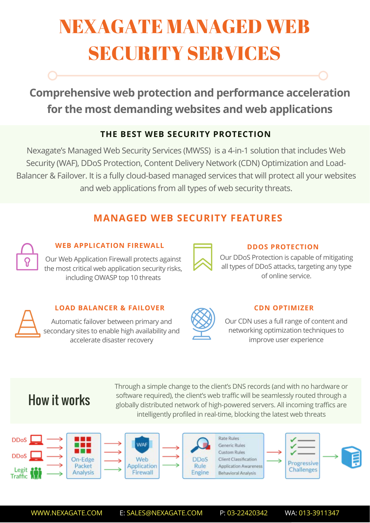# NEXAGATE MANAGED WEB SECURITY SERVICES

**Comprehensive web protection and performance acceleration for the most demanding websites and web applications**

## **THE BEST WEB SECURITY PROTECTION**

Nexagate's Managed Web Security Services (MWSS) is a 4-in-1 solution that includes Web Security (WAF), DDoS Protection, Content Delivery Network (CDN) Optimization and Load-Balancer & Failover. It is a fully cloud-based managed services that will protect all your websites and web applications from all types of web security threats.

# **MANAGED WEB SECURITY FEATURES**

### **WEB APPLICATION FIREWALL**

Our Web Application Firewall protects against the most critical web application security risks, including OWASP top 10 threats

#### **DDOS PROTECTION**

Our DDoS Protection is capable of mitigating all types of DDoS attacks, targeting any type of online service.

### **LOAD BALANCER & FAILOVER**

Automatic failover between primary and secondary sites to enable high availability and accelerate disaster recovery

### **CDN OPTIMIZER**

Our CDN uses a full range of content and networking optimization techniques to improve user experience

# How it works

Through a simple change to the client's DNS records (and with no hardware or software required), the client's web traffic will be seamlessly routed through a globally distributed network of high-powered servers. All incoming traffics are intelligently profiled in real-time, blocking the latest web threats



WWW.NEXAGATE.COM E: SALES@NEXAGATE.COM P: 03-22420342 WA: 013-3911347